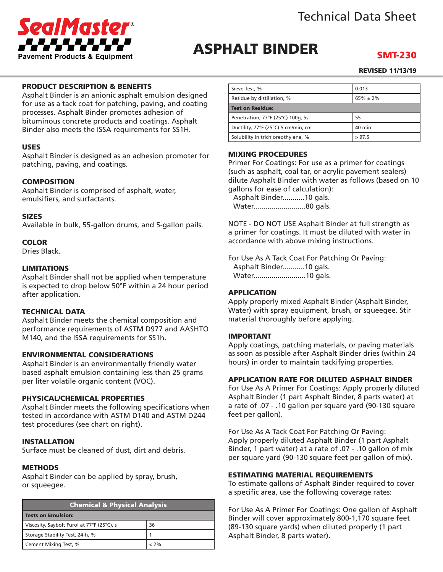

## ASPHALT BINDER
SMT-230

#### REVISED 11/13/19

#### PRODUCT DESCRIPTION & BENEFITS

Asphalt Binder is an anionic asphalt emulsion designed for use as a tack coat for patching, paving, and coating processes. Asphalt Binder promotes adhesion of bituminous concrete products and coatings. Asphalt Binder also meets the ISSA requirements for SS1H.

#### USES

Asphalt Binder is designed as an adhesion promoter for patching, paving, and coatings.

#### **COMPOSITION**

Asphalt Binder is comprised of asphalt, water, emulsifiers, and surfactants.

#### **SIZES**

Available in bulk, 55-gallon drums, and 5-gallon pails.

#### **COLOR**

Dries Black.

#### **LIMITATIONS**

Asphalt Binder shall not be applied when temperature is expected to drop below 50°F within a 24 hour period after application.

#### TECHNICAL DATA

Asphalt Binder meets the chemical composition and performance requirements of ASTM D977 and AASHTO M140, and the ISSA requirements for SS1h.

#### ENVIRONMENTAL CONSIDERATIONS

Asphalt Binder is an environmentally friendly water based asphalt emulsion containing less than 25 grams per liter volatile organic content (VOC).

#### PHYSICAL/CHEMICAL PROPERTIES

Asphalt Binder meets the following specifications when tested in accordance with ASTM D140 and ASTM D244 test procedures (see chart on right).

### INSTALLATION

Surface must be cleaned of dust, dirt and debris.

#### **METHODS**

Asphalt Binder can be applied by spray, brush, or squeegee.

| <b>Chemical &amp; Physical Analysis</b>    |      |  |
|--------------------------------------------|------|--|
| <b>Tests on Emulsion:</b>                  |      |  |
| Viscosity, Saybolt Furol at 77°F (25°C), s | 36   |  |
| Storage Stability Test, 24-h, %            |      |  |
| Cement Mixing Test, %                      | < 2% |  |

| Sieve Test, %                       | 0.013          |
|-------------------------------------|----------------|
| Residue by distillation, %          | $65\% \pm 2\%$ |
| <b>Test on Residue:</b>             |                |
| Penetration, 77°F (25°C) 100g, 5s   | 55             |
| Ductility, 77°F (25°C) 5 cm/min, cm | $40$ min       |
| Solubility in trichloreothylene, %  | > 97.5         |

#### MIXING PROCEDURES

Primer For Coatings: For use as a primer for coatings (such as asphalt, coal tar, or acrylic pavement sealers) dilute Asphalt Binder with water as follows (based on 10 gallons for ease of calculation):

Asphalt Binder...........10 gals. Water..........................80 gals.

NOTE - DO NOT USE Asphalt Binder at full strength as a primer for coatings. It must be diluted with water in accordance with above mixing instructions.

For Use As A Tack Coat For Patching Or Paving: Asphalt Binder...........10 gals. Water..........................10 gals.

#### APPLICATION

Apply properly mixed Asphalt Binder (Asphalt Binder, Water) with spray equipment, brush, or squeegee. Stir material thoroughly before applying.

### IMPORTANT

Apply coatings, patching materials, or paving materials as soon as possible after Asphalt Binder dries (within 24 hours) in order to maintain tackifying properties.

#### APPLICATION RATE FOR DILUTED ASPHALT BINDER

For Use As A Primer For Coatings: Apply properly diluted Asphalt Binder (1 part Asphalt Binder, 8 parts water) at a rate of .07 - .10 gallon per square yard (90-130 square feet per gallon).

For Use As A Tack Coat For Patching Or Paving: Apply properly diluted Asphalt Binder (1 part Asphalt Binder, 1 part water) at a rate of .07 - .10 gallon of mix per square yard (90-130 square feet per gallon of mix).

### ESTIMATING MATERIAL REQUIREMENTS

To estimate gallons of Asphalt Binder required to cover a specific area, use the following coverage rates:

For Use As A Primer For Coatings: One gallon of Asphalt Binder will cover approximately 800-1,170 square feet (89-130 square yards) when diluted properly (1 part Asphalt Binder, 8 parts water).